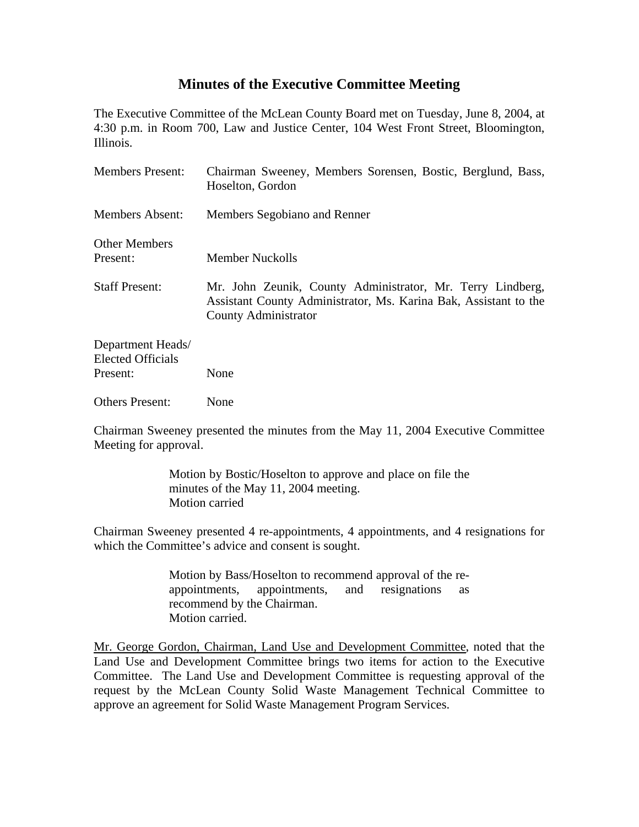## **Minutes of the Executive Committee Meeting**

The Executive Committee of the McLean County Board met on Tuesday, June 8, 2004, at 4:30 p.m. in Room 700, Law and Justice Center, 104 West Front Street, Bloomington, Illinois.

| <b>Members Present:</b>                                   | Chairman Sweeney, Members Sorensen, Bostic, Berglund, Bass,<br>Hoselton, Gordon                                                                        |
|-----------------------------------------------------------|--------------------------------------------------------------------------------------------------------------------------------------------------------|
| <b>Members Absent:</b>                                    | Members Segobiano and Renner                                                                                                                           |
| <b>Other Members</b><br>Present:                          | <b>Member Nuckolls</b>                                                                                                                                 |
| <b>Staff Present:</b>                                     | Mr. John Zeunik, County Administrator, Mr. Terry Lindberg,<br>Assistant County Administrator, Ms. Karina Bak, Assistant to the<br>County Administrator |
| Department Heads/<br><b>Elected Officials</b><br>Present: | None                                                                                                                                                   |
| <b>Others Present:</b>                                    | None                                                                                                                                                   |

Chairman Sweeney presented the minutes from the May 11, 2004 Executive Committee Meeting for approval.

> Motion by Bostic/Hoselton to approve and place on file the minutes of the May 11, 2004 meeting. Motion carried

Chairman Sweeney presented 4 re-appointments, 4 appointments, and 4 resignations for which the Committee's advice and consent is sought.

> Motion by Bass/Hoselton to recommend approval of the reappointments, appointments, and resignations as recommend by the Chairman. Motion carried.

Mr. George Gordon, Chairman, Land Use and Development Committee, noted that the Land Use and Development Committee brings two items for action to the Executive Committee. The Land Use and Development Committee is requesting approval of the request by the McLean County Solid Waste Management Technical Committee to approve an agreement for Solid Waste Management Program Services.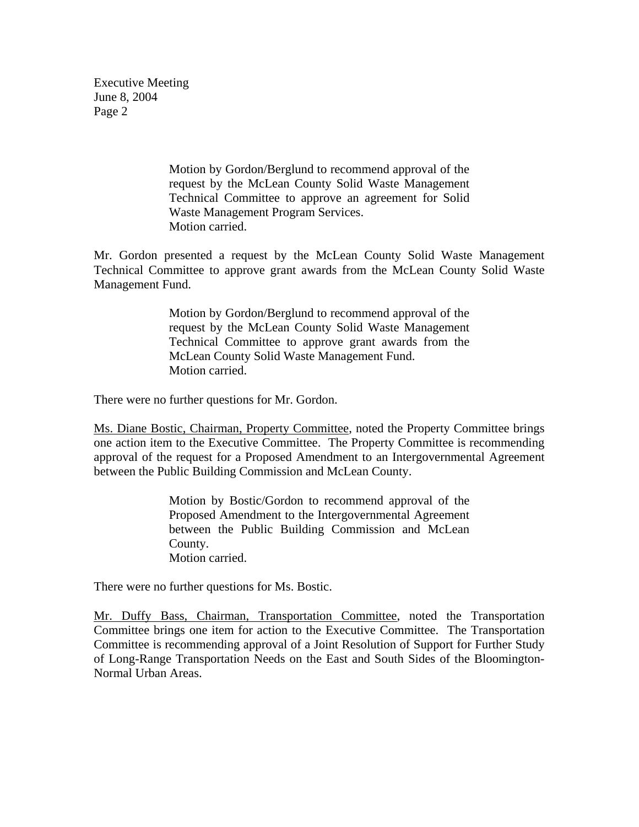Executive Meeting June 8, 2004 Page 2

> Motion by Gordon/Berglund to recommend approval of the request by the McLean County Solid Waste Management Technical Committee to approve an agreement for Solid Waste Management Program Services. Motion carried.

Mr. Gordon presented a request by the McLean County Solid Waste Management Technical Committee to approve grant awards from the McLean County Solid Waste Management Fund.

> Motion by Gordon/Berglund to recommend approval of the request by the McLean County Solid Waste Management Technical Committee to approve grant awards from the McLean County Solid Waste Management Fund. Motion carried.

There were no further questions for Mr. Gordon.

Ms. Diane Bostic, Chairman, Property Committee, noted the Property Committee brings one action item to the Executive Committee. The Property Committee is recommending approval of the request for a Proposed Amendment to an Intergovernmental Agreement between the Public Building Commission and McLean County.

> Motion by Bostic/Gordon to recommend approval of the Proposed Amendment to the Intergovernmental Agreement between the Public Building Commission and McLean County. Motion carried.

There were no further questions for Ms. Bostic.

Mr. Duffy Bass, Chairman, Transportation Committee, noted the Transportation Committee brings one item for action to the Executive Committee. The Transportation Committee is recommending approval of a Joint Resolution of Support for Further Study of Long-Range Transportation Needs on the East and South Sides of the Bloomington-Normal Urban Areas.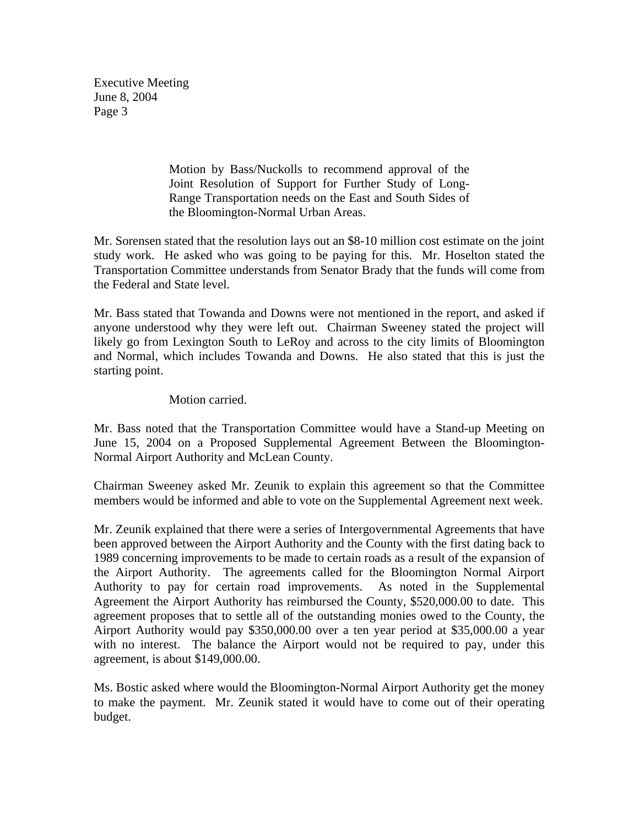Executive Meeting June 8, 2004 Page 3

> Motion by Bass/Nuckolls to recommend approval of the Joint Resolution of Support for Further Study of Long-Range Transportation needs on the East and South Sides of the Bloomington-Normal Urban Areas.

Mr. Sorensen stated that the resolution lays out an \$8-10 million cost estimate on the joint study work. He asked who was going to be paying for this. Mr. Hoselton stated the Transportation Committee understands from Senator Brady that the funds will come from the Federal and State level.

Mr. Bass stated that Towanda and Downs were not mentioned in the report, and asked if anyone understood why they were left out. Chairman Sweeney stated the project will likely go from Lexington South to LeRoy and across to the city limits of Bloomington and Normal, which includes Towanda and Downs. He also stated that this is just the starting point.

## Motion carried.

Mr. Bass noted that the Transportation Committee would have a Stand-up Meeting on June 15, 2004 on a Proposed Supplemental Agreement Between the Bloomington-Normal Airport Authority and McLean County.

Chairman Sweeney asked Mr. Zeunik to explain this agreement so that the Committee members would be informed and able to vote on the Supplemental Agreement next week.

Mr. Zeunik explained that there were a series of Intergovernmental Agreements that have been approved between the Airport Authority and the County with the first dating back to 1989 concerning improvements to be made to certain roads as a result of the expansion of the Airport Authority. The agreements called for the Bloomington Normal Airport Authority to pay for certain road improvements. As noted in the Supplemental Agreement the Airport Authority has reimbursed the County, \$520,000.00 to date. This agreement proposes that to settle all of the outstanding monies owed to the County, the Airport Authority would pay \$350,000.00 over a ten year period at \$35,000.00 a year with no interest. The balance the Airport would not be required to pay, under this agreement, is about \$149,000.00.

Ms. Bostic asked where would the Bloomington-Normal Airport Authority get the money to make the payment. Mr. Zeunik stated it would have to come out of their operating budget.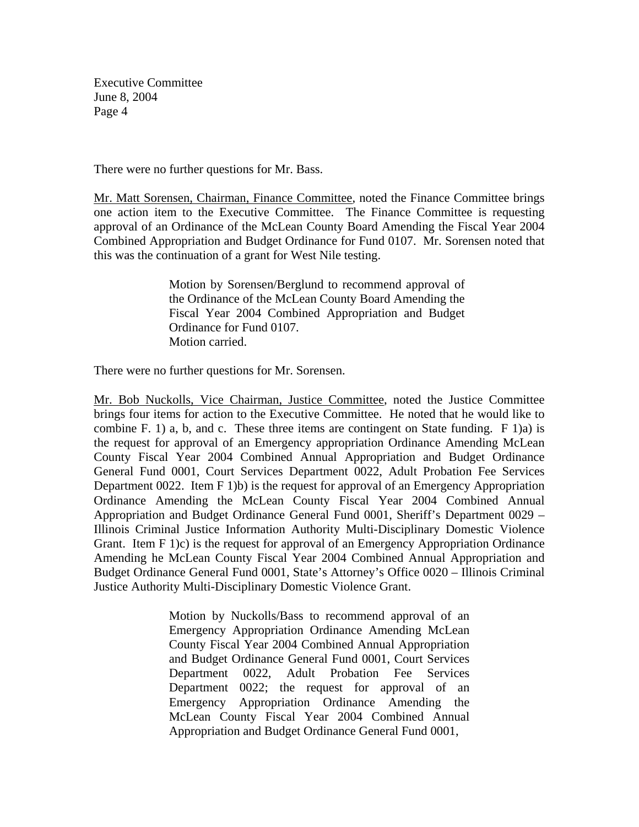There were no further questions for Mr. Bass.

Mr. Matt Sorensen, Chairman, Finance Committee, noted the Finance Committee brings one action item to the Executive Committee. The Finance Committee is requesting approval of an Ordinance of the McLean County Board Amending the Fiscal Year 2004 Combined Appropriation and Budget Ordinance for Fund 0107. Mr. Sorensen noted that this was the continuation of a grant for West Nile testing.

> Motion by Sorensen/Berglund to recommend approval of the Ordinance of the McLean County Board Amending the Fiscal Year 2004 Combined Appropriation and Budget Ordinance for Fund 0107. Motion carried.

There were no further questions for Mr. Sorensen.

Mr. Bob Nuckolls, Vice Chairman, Justice Committee, noted the Justice Committee brings four items for action to the Executive Committee. He noted that he would like to combine F. 1) a, b, and c. These three items are contingent on State funding. F 1)a) is the request for approval of an Emergency appropriation Ordinance Amending McLean County Fiscal Year 2004 Combined Annual Appropriation and Budget Ordinance General Fund 0001, Court Services Department 0022, Adult Probation Fee Services Department 0022. Item F 1)b) is the request for approval of an Emergency Appropriation Ordinance Amending the McLean County Fiscal Year 2004 Combined Annual Appropriation and Budget Ordinance General Fund 0001, Sheriff's Department 0029 – Illinois Criminal Justice Information Authority Multi-Disciplinary Domestic Violence Grant. Item F 1)c) is the request for approval of an Emergency Appropriation Ordinance Amending he McLean County Fiscal Year 2004 Combined Annual Appropriation and Budget Ordinance General Fund 0001, State's Attorney's Office 0020 – Illinois Criminal Justice Authority Multi-Disciplinary Domestic Violence Grant.

> Motion by Nuckolls/Bass to recommend approval of an Emergency Appropriation Ordinance Amending McLean County Fiscal Year 2004 Combined Annual Appropriation and Budget Ordinance General Fund 0001, Court Services Department 0022, Adult Probation Fee Services Department 0022; the request for approval of an Emergency Appropriation Ordinance Amending the McLean County Fiscal Year 2004 Combined Annual Appropriation and Budget Ordinance General Fund 0001,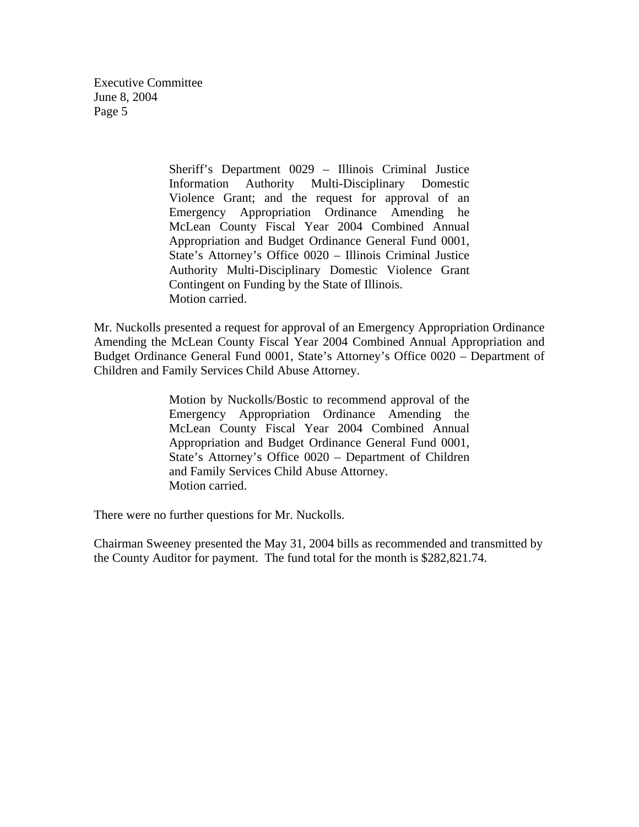> Sheriff's Department 0029 – Illinois Criminal Justice Information Authority Multi-Disciplinary Domestic Violence Grant; and the request for approval of an Emergency Appropriation Ordinance Amending he McLean County Fiscal Year 2004 Combined Annual Appropriation and Budget Ordinance General Fund 0001, State's Attorney's Office 0020 – Illinois Criminal Justice Authority Multi-Disciplinary Domestic Violence Grant Contingent on Funding by the State of Illinois. Motion carried.

Mr. Nuckolls presented a request for approval of an Emergency Appropriation Ordinance Amending the McLean County Fiscal Year 2004 Combined Annual Appropriation and Budget Ordinance General Fund 0001, State's Attorney's Office 0020 – Department of Children and Family Services Child Abuse Attorney.

> Motion by Nuckolls/Bostic to recommend approval of the Emergency Appropriation Ordinance Amending the McLean County Fiscal Year 2004 Combined Annual Appropriation and Budget Ordinance General Fund 0001, State's Attorney's Office 0020 – Department of Children and Family Services Child Abuse Attorney. Motion carried.

There were no further questions for Mr. Nuckolls.

Chairman Sweeney presented the May 31, 2004 bills as recommended and transmitted by the County Auditor for payment. The fund total for the month is \$282,821.74.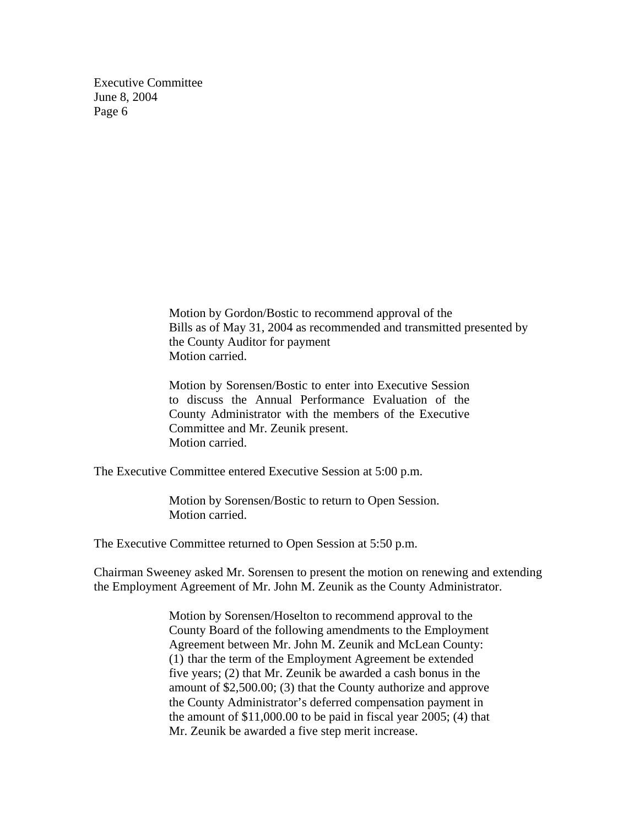> Motion by Gordon/Bostic to recommend approval of the Bills as of May 31, 2004 as recommended and transmitted presented by the County Auditor for payment Motion carried.

Motion by Sorensen/Bostic to enter into Executive Session to discuss the Annual Performance Evaluation of the County Administrator with the members of the Executive Committee and Mr. Zeunik present. Motion carried.

The Executive Committee entered Executive Session at 5:00 p.m.

 Motion by Sorensen/Bostic to return to Open Session. Motion carried.

The Executive Committee returned to Open Session at 5:50 p.m.

Chairman Sweeney asked Mr. Sorensen to present the motion on renewing and extending the Employment Agreement of Mr. John M. Zeunik as the County Administrator.

> Motion by Sorensen/Hoselton to recommend approval to the County Board of the following amendments to the Employment Agreement between Mr. John M. Zeunik and McLean County: (1) thar the term of the Employment Agreement be extended five years; (2) that Mr. Zeunik be awarded a cash bonus in the amount of \$2,500.00; (3) that the County authorize and approve the County Administrator's deferred compensation payment in the amount of \$11,000.00 to be paid in fiscal year 2005; (4) that Mr. Zeunik be awarded a five step merit increase.